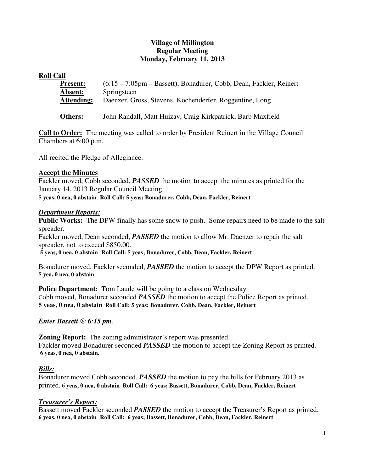## **Village of Millington Regular Meeting Monday, February 11, 2013**

### **Roll Call**

| <b>Present:</b><br><b>Absent:</b> | $(6:15 - 7:05$ pm – Bassett), Bonadurer, Cobb, Dean, Fackler, Reinert<br>Springsteen |
|-----------------------------------|--------------------------------------------------------------------------------------|
| Attending:                        | Daenzer, Gross, Stevens, Kochenderfer, Roggentine, Long                              |
| <b>Others:</b>                    | John Randall, Matt Huizav, Craig Kirkpatrick, Barb Maxfield                          |

**Call to Order:** The meeting was called to order by President Reinert in the Village Council Chambers at 6:00 p.m.

All recited the Pledge of Allegiance.

### **Accept the Minutes**

Fackler moved, Cobb seconded, *PASSED* the motion to accept the minutes as printed for the January 14, 2013 Regular Council Meeting.

**5 yeas, 0 nea, 0 abstain**. **Roll Call: 5 yeas; Bonadurer, Cobb, Dean, Fackler, Reinert** 

### *Department Reports:*

**Public Works:** The DPW finally has some snow to push. Some repairs need to be made to the salt spreader.

Fackler moved, Dean seconded, *PASSED* the motion to allow Mr. Daenzer to repair the salt spreader, not to exceed \$850.00.

**5 yeas, 0 nea, 0 abstain Roll Call: 5 yeas; Bonadurer, Cobb, Dean, Fackler, Reinert** 

Bonadurer moved, Fackler seconded, *PASSED* the motion to accept the DPW Report as printed. **5 yea, 0 nea, 0 abstain** 

**Police Department:** Tom Laude will be going to a class on Wednesday. Cobb moved, Bonadurer seconded *PASSED* the motion to accept the Police Report as printed. **5 yeas, 0 nea, 0 abstain Roll Call: 5 yeas; Bonadurer, Cobb, Dean, Fackler, Reinert** 

*Enter Bassett @ 6:15 pm.* 

**Zoning Report:** The zoning administrator's report was presented. Fackler moved Bonadurer seconded *PASSED* the motion to accept the Zoning Report as printed.  **6 yeas, 0 nea, 0 abstain**.

#### *Bills:*

Bonadurer moved Cobb seconded, *PASSED* the motion to pay the bills for February 2013 as printed. **6 yeas, 0 nea, 0 abstain Roll Call: 6 yeas; Bassett, Bonadurer, Cobb, Dean, Fackler, Reinert** 

#### *Treasurer's Report:*

Bassett moved Fackler seconded *PASSED* the motion to accept the Treasurer's Report as printed. **6 yeas, 0 nea, 0 abstain Roll Call: 6 yeas; Bassett, Bonadurer, Cobb, Dean, Fackler, Reinert**